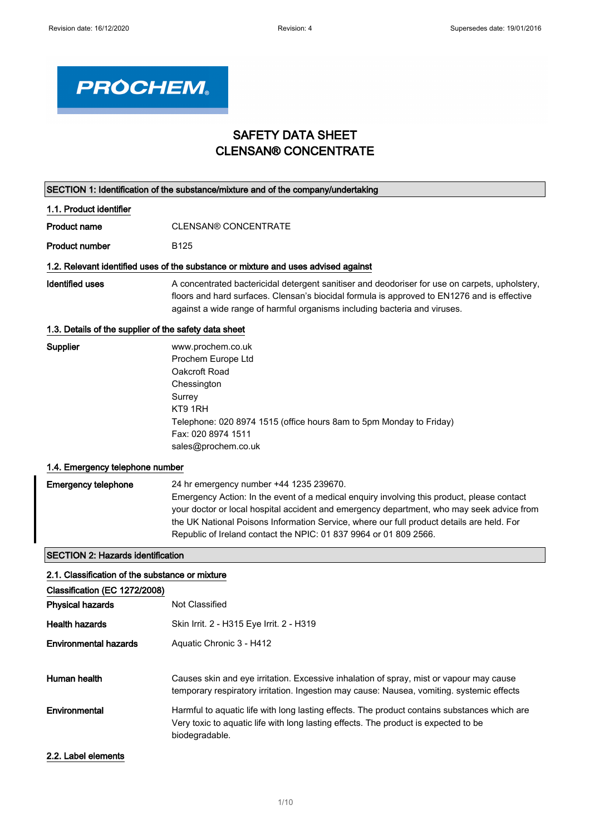

## SAFETY DATA SHEET CLENSAN® CONCENTRATE

| SECTION 1: Identification of the substance/mixture and of the company/undertaking |                                                                                                                                                                                                                                                                                                                                                                                                      |  |  |
|-----------------------------------------------------------------------------------|------------------------------------------------------------------------------------------------------------------------------------------------------------------------------------------------------------------------------------------------------------------------------------------------------------------------------------------------------------------------------------------------------|--|--|
| 1.1. Product identifier                                                           |                                                                                                                                                                                                                                                                                                                                                                                                      |  |  |
| <b>Product name</b>                                                               | <b>CLENSAN® CONCENTRATE</b>                                                                                                                                                                                                                                                                                                                                                                          |  |  |
| <b>Product number</b>                                                             | <b>B125</b>                                                                                                                                                                                                                                                                                                                                                                                          |  |  |
|                                                                                   | 1.2. Relevant identified uses of the substance or mixture and uses advised against                                                                                                                                                                                                                                                                                                                   |  |  |
| <b>Identified uses</b>                                                            | A concentrated bactericidal detergent sanitiser and deodoriser for use on carpets, upholstery,<br>floors and hard surfaces. Clensan's biocidal formula is approved to EN1276 and is effective<br>against a wide range of harmful organisms including bacteria and viruses.                                                                                                                           |  |  |
| 1.3. Details of the supplier of the safety data sheet                             |                                                                                                                                                                                                                                                                                                                                                                                                      |  |  |
| Supplier                                                                          | www.prochem.co.uk<br>Prochem Europe Ltd<br>Oakcroft Road<br>Chessington<br>Surrey<br>KT9 1RH<br>Telephone: 020 8974 1515 (office hours 8am to 5pm Monday to Friday)<br>Fax: 020 8974 1511<br>sales@prochem.co.uk                                                                                                                                                                                     |  |  |
| 1.4. Emergency telephone number                                                   |                                                                                                                                                                                                                                                                                                                                                                                                      |  |  |
| <b>Emergency telephone</b>                                                        | 24 hr emergency number +44 1235 239670.<br>Emergency Action: In the event of a medical enquiry involving this product, please contact<br>your doctor or local hospital accident and emergency department, who may seek advice from<br>the UK National Poisons Information Service, where our full product details are held. For<br>Republic of Ireland contact the NPIC: 01 837 9964 or 01 809 2566. |  |  |
| <b>SECTION 2: Hazards identification</b>                                          |                                                                                                                                                                                                                                                                                                                                                                                                      |  |  |
| 2.1. Classification of the substance or mixture                                   |                                                                                                                                                                                                                                                                                                                                                                                                      |  |  |
| Classification (EC 1272/2008)                                                     |                                                                                                                                                                                                                                                                                                                                                                                                      |  |  |
| <b>Physical hazards</b>                                                           | Not Classified                                                                                                                                                                                                                                                                                                                                                                                       |  |  |
| Health hazards                                                                    | Skin Irrit. 2 - H315 Eye Irrit. 2 - H319                                                                                                                                                                                                                                                                                                                                                             |  |  |
| <b>Environmental hazards</b>                                                      | Aquatic Chronic 3 - H412                                                                                                                                                                                                                                                                                                                                                                             |  |  |
| Human health                                                                      | Causes skin and eye irritation. Excessive inhalation of spray, mist or vapour may cause<br>temporary respiratory irritation. Ingestion may cause: Nausea, vomiting. systemic effects                                                                                                                                                                                                                 |  |  |
| Environmental                                                                     | Harmful to aquatic life with long lasting effects. The product contains substances which are<br>Very toxic to aquatic life with long lasting effects. The product is expected to be<br>biodegradable.                                                                                                                                                                                                |  |  |

### 2.2. Label elements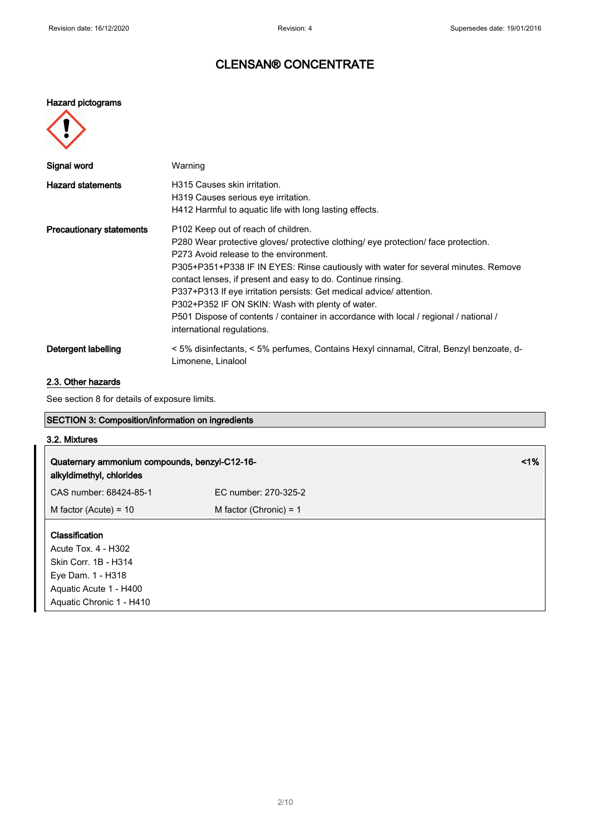#### Hazard pictograms



| Signal word                     | Warning                                                                                                                                                                                                                                                                                                                                                                                                                                                                                                                                                                     |
|---------------------------------|-----------------------------------------------------------------------------------------------------------------------------------------------------------------------------------------------------------------------------------------------------------------------------------------------------------------------------------------------------------------------------------------------------------------------------------------------------------------------------------------------------------------------------------------------------------------------------|
| <b>Hazard statements</b>        | H315 Causes skin irritation.<br>H319 Causes serious eye irritation.<br>H412 Harmful to aquatic life with long lasting effects.                                                                                                                                                                                                                                                                                                                                                                                                                                              |
| <b>Precautionary statements</b> | P102 Keep out of reach of children.<br>P280 Wear protective gloves/ protective clothing/ eye protection/ face protection.<br>P273 Avoid release to the environment.<br>P305+P351+P338 IF IN EYES: Rinse cautiously with water for several minutes. Remove<br>contact lenses, if present and easy to do. Continue rinsing.<br>P337+P313 If eye irritation persists: Get medical advice/attention.<br>P302+P352 IF ON SKIN: Wash with plenty of water.<br>P501 Dispose of contents / container in accordance with local / regional / national /<br>international regulations. |
| Detergent labelling             | < 5% disinfectants, < 5% perfumes, Contains Hexyl cinnamal, Citral, Benzyl benzoate, d-<br>Limonene, Linalool                                                                                                                                                                                                                                                                                                                                                                                                                                                               |

### 2.3. Other hazards

See section 8 for details of exposure limits.

## SECTION 3: Composition/information on ingredients

### 3.2. Mixtures

| Quaternary ammonium compounds, benzyl-C12-16-<br>alkyldimethyl, chlorides                                                                |                          |  |
|------------------------------------------------------------------------------------------------------------------------------------------|--------------------------|--|
| CAS number: 68424-85-1                                                                                                                   | EC number: 270-325-2     |  |
| M factor (Acute) = $10$                                                                                                                  | M factor (Chronic) = $1$ |  |
| Classification<br>Acute Tox. 4 - H302<br>Skin Corr. 1B - H314<br>Eye Dam. 1 - H318<br>Aquatic Acute 1 - H400<br>Aquatic Chronic 1 - H410 |                          |  |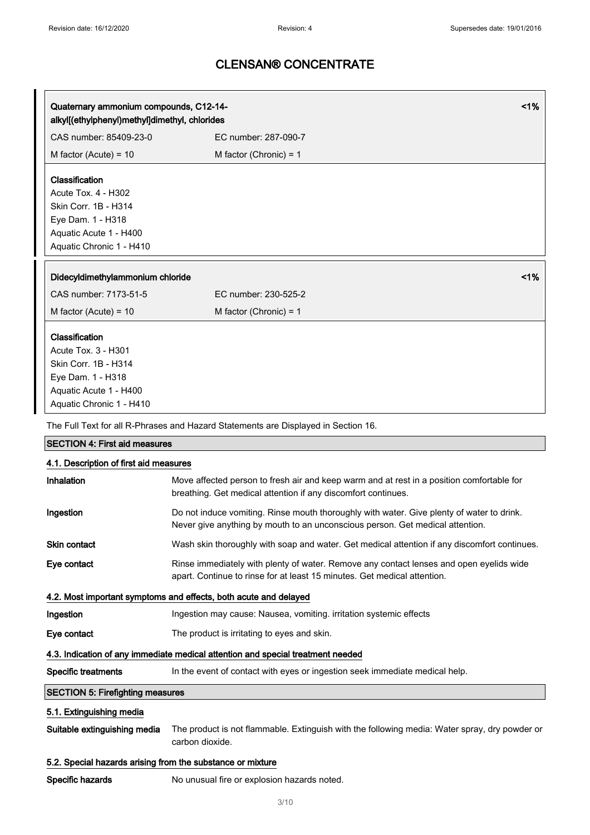| Quaternary ammonium compounds, C12-14-        |                          | 1% |
|-----------------------------------------------|--------------------------|----|
| alkyl[(ethylphenyl)methyl]dimethyl, chlorides |                          |    |
| CAS number: 85409-23-0                        | EC number: 287-090-7     |    |
| M factor (Acute) = $10$                       | M factor (Chronic) = $1$ |    |
| Classification                                |                          |    |
| Acute Tox. 4 - H302                           |                          |    |
| Skin Corr. 1B - H314                          |                          |    |
| Eye Dam. 1 - H318                             |                          |    |
| Aquatic Acute 1 - H400                        |                          |    |
|                                               |                          |    |
| Aquatic Chronic 1 - H410                      |                          |    |
| Didecyldimethylammonium chloride              |                          | 1% |
| CAS number: 7173-51-5                         | EC number: 230-525-2     |    |
| M factor (Acute) = $10$                       | M factor (Chronic) = $1$ |    |
| Classification                                |                          |    |
| Acute Tox. 3 - H301                           |                          |    |
| Skin Corr. 1B - H314                          |                          |    |
| Eye Dam. 1 - H318                             |                          |    |
| Aquatic Acute 1 - H400                        |                          |    |

| <b>SECTION 4: First aid measures</b>                                            |                                                                                                                                                                            |  |  |
|---------------------------------------------------------------------------------|----------------------------------------------------------------------------------------------------------------------------------------------------------------------------|--|--|
| 4.1. Description of first aid measures                                          |                                                                                                                                                                            |  |  |
| Inhalation                                                                      | Move affected person to fresh air and keep warm and at rest in a position comfortable for<br>breathing. Get medical attention if any discomfort continues.                 |  |  |
| Ingestion                                                                       | Do not induce vomiting. Rinse mouth thoroughly with water. Give plenty of water to drink.<br>Never give anything by mouth to an unconscious person. Get medical attention. |  |  |
| <b>Skin contact</b>                                                             | Wash skin thoroughly with soap and water. Get medical attention if any discomfort continues.                                                                               |  |  |
| Eye contact                                                                     | Rinse immediately with plenty of water. Remove any contact lenses and open eyelids wide<br>apart. Continue to rinse for at least 15 minutes. Get medical attention.        |  |  |
|                                                                                 | 4.2. Most important symptoms and effects, both acute and delayed                                                                                                           |  |  |
| Ingestion                                                                       | Ingestion may cause: Nausea, vomiting. irritation systemic effects                                                                                                         |  |  |
| Eye contact                                                                     | The product is irritating to eyes and skin.                                                                                                                                |  |  |
| 4.3. Indication of any immediate medical attention and special treatment needed |                                                                                                                                                                            |  |  |
| Specific treatments                                                             | In the event of contact with eyes or ingestion seek immediate medical help.                                                                                                |  |  |
| <b>SECTION 5: Firefighting measures</b>                                         |                                                                                                                                                                            |  |  |
| 5.1. Extinguishing media                                                        |                                                                                                                                                                            |  |  |

Suitable extinguishing media The product is not flammable. Extinguish with the following media: Water spray, dry powder or carbon dioxide.

### 5.2. Special hazards arising from the substance or mixture

Specific hazards No unusual fire or explosion hazards noted.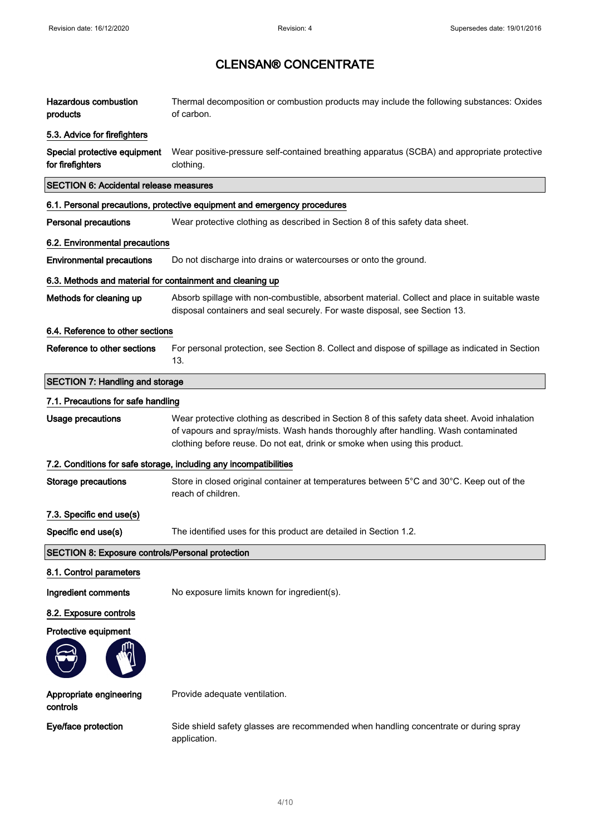| <b>Hazardous combustion</b><br>products                                                                      | Thermal decomposition or combustion products may include the following substances: Oxides<br>of carbon.                                                                                                                                                             |  |  |
|--------------------------------------------------------------------------------------------------------------|---------------------------------------------------------------------------------------------------------------------------------------------------------------------------------------------------------------------------------------------------------------------|--|--|
| 5.3. Advice for firefighters                                                                                 |                                                                                                                                                                                                                                                                     |  |  |
| Special protective equipment<br>for firefighters                                                             | Wear positive-pressure self-contained breathing apparatus (SCBA) and appropriate protective<br>clothing.                                                                                                                                                            |  |  |
| <b>SECTION 6: Accidental release measures</b>                                                                |                                                                                                                                                                                                                                                                     |  |  |
|                                                                                                              | 6.1. Personal precautions, protective equipment and emergency procedures                                                                                                                                                                                            |  |  |
| <b>Personal precautions</b><br>Wear protective clothing as described in Section 8 of this safety data sheet. |                                                                                                                                                                                                                                                                     |  |  |
| 6.2. Environmental precautions                                                                               |                                                                                                                                                                                                                                                                     |  |  |
| <b>Environmental precautions</b>                                                                             | Do not discharge into drains or watercourses or onto the ground.                                                                                                                                                                                                    |  |  |
| 6.3. Methods and material for containment and cleaning up                                                    |                                                                                                                                                                                                                                                                     |  |  |
| Methods for cleaning up                                                                                      | Absorb spillage with non-combustible, absorbent material. Collect and place in suitable waste<br>disposal containers and seal securely. For waste disposal, see Section 13.                                                                                         |  |  |
| 6.4. Reference to other sections                                                                             |                                                                                                                                                                                                                                                                     |  |  |
| Reference to other sections                                                                                  | For personal protection, see Section 8. Collect and dispose of spillage as indicated in Section<br>13.                                                                                                                                                              |  |  |
| <b>SECTION 7: Handling and storage</b>                                                                       |                                                                                                                                                                                                                                                                     |  |  |
| 7.1. Precautions for safe handling                                                                           |                                                                                                                                                                                                                                                                     |  |  |
| <b>Usage precautions</b>                                                                                     | Wear protective clothing as described in Section 8 of this safety data sheet. Avoid inhalation<br>of vapours and spray/mists. Wash hands thoroughly after handling. Wash contaminated<br>clothing before reuse. Do not eat, drink or smoke when using this product. |  |  |
|                                                                                                              | 7.2. Conditions for safe storage, including any incompatibilities                                                                                                                                                                                                   |  |  |
| <b>Storage precautions</b>                                                                                   | Store in closed original container at temperatures between 5°C and 30°C. Keep out of the<br>reach of children.                                                                                                                                                      |  |  |
| 7.3. Specific end use(s)                                                                                     |                                                                                                                                                                                                                                                                     |  |  |
| Specific end use(s)                                                                                          | The identified uses for this product are detailed in Section 1.2.                                                                                                                                                                                                   |  |  |
| <b>SECTION 8: Exposure controls/Personal protection</b>                                                      |                                                                                                                                                                                                                                                                     |  |  |
| 8.1. Control parameters                                                                                      |                                                                                                                                                                                                                                                                     |  |  |
| Ingredient comments                                                                                          | No exposure limits known for ingredient(s).                                                                                                                                                                                                                         |  |  |
| 8.2. Exposure controls                                                                                       |                                                                                                                                                                                                                                                                     |  |  |
| Protective equipment                                                                                         |                                                                                                                                                                                                                                                                     |  |  |
|                                                                                                              |                                                                                                                                                                                                                                                                     |  |  |
| Appropriate engineering<br>controls                                                                          | Provide adequate ventilation.                                                                                                                                                                                                                                       |  |  |
| Eye/face protection                                                                                          | Side shield safety glasses are recommended when handling concentrate or during spray<br>application.                                                                                                                                                                |  |  |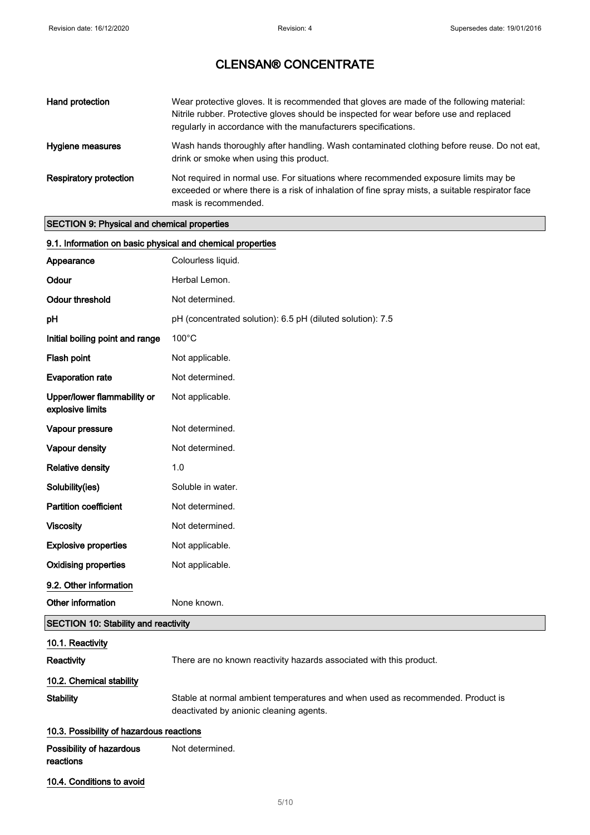| Hand protection               | Wear protective gloves. It is recommended that gloves are made of the following material:<br>Nitrile rubber. Protective gloves should be inspected for wear before use and replaced<br>regularly in accordance with the manufacturers specifications. |
|-------------------------------|-------------------------------------------------------------------------------------------------------------------------------------------------------------------------------------------------------------------------------------------------------|
| Hygiene measures              | Wash hands thoroughly after handling. Wash contaminated clothing before reuse. Do not eat,<br>drink or smoke when using this product.                                                                                                                 |
| <b>Respiratory protection</b> | Not required in normal use. For situations where recommended exposure limits may be<br>exceeded or where there is a risk of inhalation of fine spray mists, a suitable respirator face<br>mask is recommended.                                        |

## SECTION 9: Physical and chemical properties

| 9.1. Information on basic physical and chemical properties |                                                                                                                           |  |  |  |  |
|------------------------------------------------------------|---------------------------------------------------------------------------------------------------------------------------|--|--|--|--|
| Appearance                                                 | Colourless liquid.                                                                                                        |  |  |  |  |
| Odour                                                      | Herbal Lemon.                                                                                                             |  |  |  |  |
| <b>Odour threshold</b>                                     | Not determined.                                                                                                           |  |  |  |  |
| pH                                                         | pH (concentrated solution): 6.5 pH (diluted solution): 7.5                                                                |  |  |  |  |
| Initial boiling point and range                            | 100°C                                                                                                                     |  |  |  |  |
| Flash point                                                | Not applicable.                                                                                                           |  |  |  |  |
| <b>Evaporation rate</b>                                    | Not determined.                                                                                                           |  |  |  |  |
| Upper/lower flammability or<br>explosive limits            | Not applicable.                                                                                                           |  |  |  |  |
| Vapour pressure                                            | Not determined.                                                                                                           |  |  |  |  |
| Vapour density                                             | Not determined.                                                                                                           |  |  |  |  |
| <b>Relative density</b>                                    | 1.0                                                                                                                       |  |  |  |  |
| Solubility(ies)                                            | Soluble in water.                                                                                                         |  |  |  |  |
| <b>Partition coefficient</b>                               | Not determined.                                                                                                           |  |  |  |  |
| <b>Viscosity</b>                                           | Not determined.                                                                                                           |  |  |  |  |
| <b>Explosive properties</b>                                | Not applicable.                                                                                                           |  |  |  |  |
| <b>Oxidising properties</b>                                | Not applicable.                                                                                                           |  |  |  |  |
| 9.2. Other information                                     |                                                                                                                           |  |  |  |  |
| Other information                                          | None known.                                                                                                               |  |  |  |  |
| <b>SECTION 10: Stability and reactivity</b>                |                                                                                                                           |  |  |  |  |
| 10.1. Reactivity                                           |                                                                                                                           |  |  |  |  |
| Reactivity                                                 | There are no known reactivity hazards associated with this product.                                                       |  |  |  |  |
| 10.2. Chemical stability                                   |                                                                                                                           |  |  |  |  |
| <b>Stability</b>                                           | Stable at normal ambient temperatures and when used as recommended. Product is<br>deactivated by anionic cleaning agents. |  |  |  |  |
| 10.3. Possibility of hazardous reactions                   |                                                                                                                           |  |  |  |  |
| Possibility of hazardous<br>reactions                      | Not determined.                                                                                                           |  |  |  |  |
| 10.4. Conditions to avoid                                  |                                                                                                                           |  |  |  |  |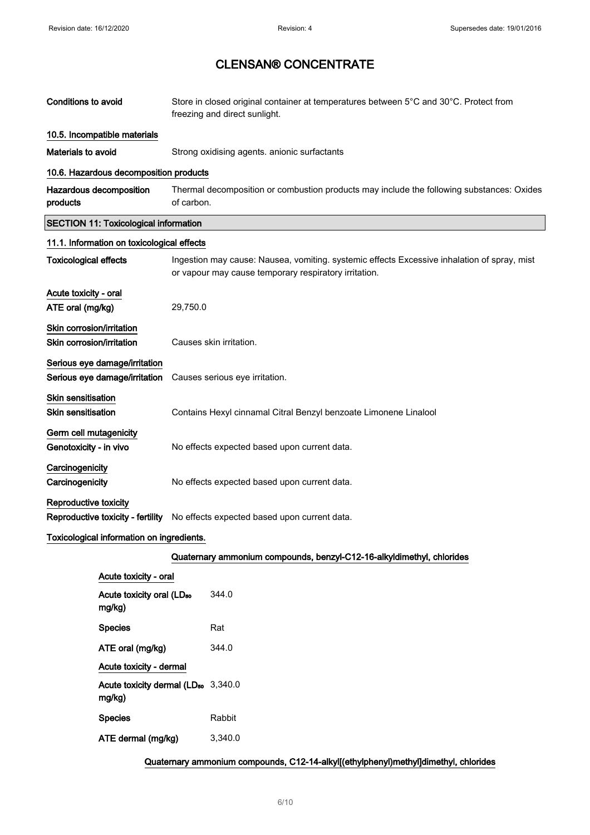| <b>Conditions to avoid</b>                             |                                                                | Store in closed original container at temperatures between 5°C and 30°C. Protect from<br>freezing and direct sunlight. |                                                                                                                                                      |  |  |
|--------------------------------------------------------|----------------------------------------------------------------|------------------------------------------------------------------------------------------------------------------------|------------------------------------------------------------------------------------------------------------------------------------------------------|--|--|
|                                                        | 10.5. Incompatible materials                                   |                                                                                                                        |                                                                                                                                                      |  |  |
| Materials to avoid                                     |                                                                |                                                                                                                        | Strong oxidising agents. anionic surfactants                                                                                                         |  |  |
|                                                        | 10.6. Hazardous decomposition products                         |                                                                                                                        |                                                                                                                                                      |  |  |
| Hazardous decomposition<br>products                    |                                                                | of carbon.                                                                                                             | Thermal decomposition or combustion products may include the following substances: Oxides                                                            |  |  |
|                                                        | <b>SECTION 11: Toxicological information</b>                   |                                                                                                                        |                                                                                                                                                      |  |  |
|                                                        | 11.1. Information on toxicological effects                     |                                                                                                                        |                                                                                                                                                      |  |  |
| <b>Toxicological effects</b>                           |                                                                |                                                                                                                        | Ingestion may cause: Nausea, vomiting. systemic effects Excessive inhalation of spray, mist<br>or vapour may cause temporary respiratory irritation. |  |  |
| Acute toxicity - oral<br>ATE oral (mg/kg)              |                                                                | 29,750.0                                                                                                               |                                                                                                                                                      |  |  |
| Skin corrosion/irritation<br>Skin corrosion/irritation |                                                                |                                                                                                                        | Causes skin irritation.                                                                                                                              |  |  |
|                                                        | Serious eye damage/irritation<br>Serious eye damage/irritation |                                                                                                                        | Causes serious eye irritation.                                                                                                                       |  |  |
| <b>Skin sensitisation</b><br><b>Skin sensitisation</b> |                                                                |                                                                                                                        | Contains Hexyl cinnamal Citral Benzyl benzoate Limonene Linalool                                                                                     |  |  |
| Germ cell mutagenicity<br>Genotoxicity - in vivo       |                                                                |                                                                                                                        | No effects expected based upon current data.                                                                                                         |  |  |
| Carcinogenicity<br>Carcinogenicity                     |                                                                |                                                                                                                        | No effects expected based upon current data.                                                                                                         |  |  |
| Reproductive toxicity                                  |                                                                |                                                                                                                        | Reproductive toxicity - fertility No effects expected based upon current data.                                                                       |  |  |
|                                                        | Toxicological information on ingredients.                      |                                                                                                                        |                                                                                                                                                      |  |  |
|                                                        |                                                                |                                                                                                                        | Quaternary ammonium compounds, benzyl-C12-16-alkyldimethyl, chlorides                                                                                |  |  |
|                                                        | Acute toxicity - oral                                          |                                                                                                                        |                                                                                                                                                      |  |  |
|                                                        | Acute toxicity oral (LD <sub>50</sub><br>mg/kg)                |                                                                                                                        | 344.0                                                                                                                                                |  |  |
|                                                        | <b>Species</b>                                                 |                                                                                                                        | Rat                                                                                                                                                  |  |  |
|                                                        | ATE oral (mg/kg)                                               |                                                                                                                        | 344.0                                                                                                                                                |  |  |
|                                                        | Acute toxicity - dermal                                        |                                                                                                                        |                                                                                                                                                      |  |  |
|                                                        | Acute toxicity dermal (LD <sub>50</sub> 3,340.0<br>mg/kg)      |                                                                                                                        |                                                                                                                                                      |  |  |
|                                                        | <b>Species</b>                                                 |                                                                                                                        | Rabbit                                                                                                                                               |  |  |
|                                                        | ATE dermal (mg/kg)                                             |                                                                                                                        | 3,340.0                                                                                                                                              |  |  |

Quaternary ammonium compounds, C12-14-alkyl[(ethylphenyl)methyl]dimethyl, chlorides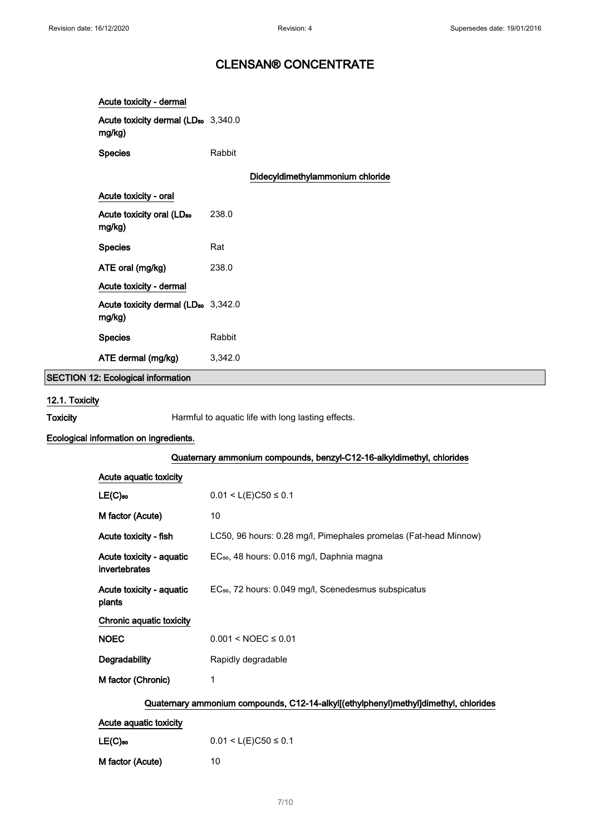| Acute toxicity - dermal                                   |                                  |
|-----------------------------------------------------------|----------------------------------|
| Acute toxicity dermal (LD <sub>50</sub> 3,340.0<br>mg/kg) |                                  |
| <b>Species</b>                                            | Rabbit                           |
|                                                           | Didecyldimethylammonium chloride |
| Acute toxicity - oral                                     |                                  |
| Acute toxicity oral (LD <sub>50</sub><br>mg/kg)           | 238.0                            |
| <b>Species</b>                                            | Rat                              |
| ATE oral (mg/kg)                                          | 238.0                            |
| Acute toxicity - dermal                                   |                                  |
| Acute toxicity dermal (LD <sub>50</sub> 3,342.0<br>mg/kg) |                                  |
| <b>Species</b>                                            | Rabbit                           |
| ATE dermal (mg/kg)                                        | 3,342.0                          |

SECTION 12: Ecological information

### 12.1. Toxicity

Toxicity **Harmful to aquatic life with long lasting effects.** 

#### Ecological information on ingredients.

|                                                                                     | Quaternary ammonium compounds, benzyl-C12-16-alkyldimethyl, chlorides |  |  |  |
|-------------------------------------------------------------------------------------|-----------------------------------------------------------------------|--|--|--|
| Acute aquatic toxicity                                                              |                                                                       |  |  |  |
| $LE(C)$ <sub>50</sub>                                                               | $0.01 < L(E)C50 \le 0.1$                                              |  |  |  |
| M factor (Acute)                                                                    | 10                                                                    |  |  |  |
| Acute toxicity - fish                                                               | LC50, 96 hours: 0.28 mg/l, Pimephales promelas (Fat-head Minnow)      |  |  |  |
| Acute toxicity - aquatic<br>invertebrates                                           | EC <sub>50</sub> , 48 hours: 0.016 mg/l, Daphnia magna                |  |  |  |
| Acute toxicity - aquatic<br>plants                                                  | EC <sub>50</sub> , 72 hours: 0.049 mg/l, Scenedesmus subspicatus      |  |  |  |
| Chronic aquatic toxicity                                                            |                                                                       |  |  |  |
| <b>NOEC</b>                                                                         | $0.001 < NOEC \leq 0.01$                                              |  |  |  |
| <b>Degradability</b>                                                                | Rapidly degradable                                                    |  |  |  |
| M factor (Chronic)                                                                  | 1                                                                     |  |  |  |
| Quaternary ammonium compounds, C12-14-alkyl[(ethylphenyl)methyl]dimethyl, chlorides |                                                                       |  |  |  |
| Acute aquatic toxicity                                                              |                                                                       |  |  |  |
| $LE(C)$ <sub>50</sub>                                                               | $0.01 < L(E)C50 \le 0.1$                                              |  |  |  |
| M factor (Acute)                                                                    | 10                                                                    |  |  |  |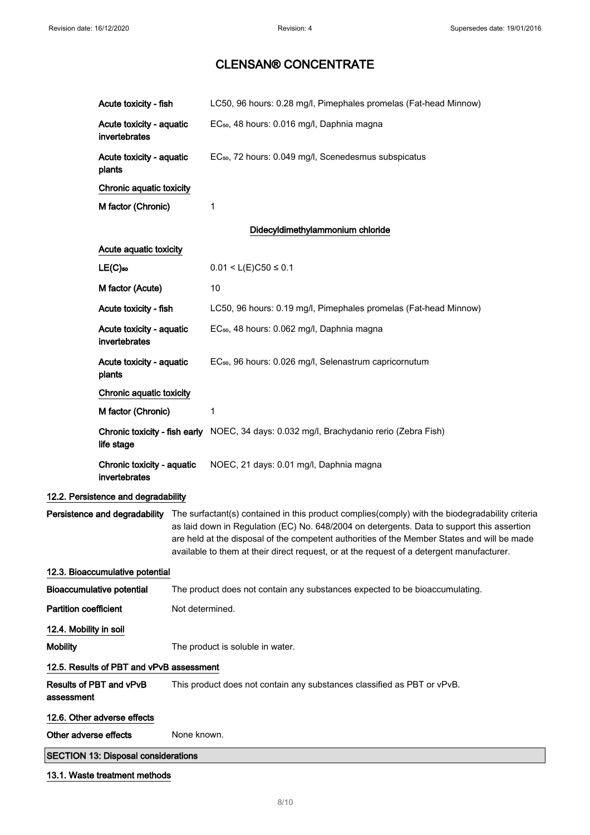|                              | Acute toxicity - fish                       |                 | LC50, 96 hours: 0.28 mg/l, Pimephales promelas (Fat-head Minnow)                                                                                                                                                                                                                                                                                                                                                        |
|------------------------------|---------------------------------------------|-----------------|-------------------------------------------------------------------------------------------------------------------------------------------------------------------------------------------------------------------------------------------------------------------------------------------------------------------------------------------------------------------------------------------------------------------------|
|                              | Acute toxicity - aquatic<br>invertebrates   |                 | EC <sub>50</sub> , 48 hours: 0.016 mg/l, Daphnia magna                                                                                                                                                                                                                                                                                                                                                                  |
|                              | Acute toxicity - aquatic<br>plants          |                 | EC <sub>50</sub> , 72 hours: 0.049 mg/l, Scenedesmus subspicatus                                                                                                                                                                                                                                                                                                                                                        |
|                              | Chronic aquatic toxicity                    |                 |                                                                                                                                                                                                                                                                                                                                                                                                                         |
|                              | M factor (Chronic)                          |                 | 1                                                                                                                                                                                                                                                                                                                                                                                                                       |
|                              |                                             |                 | Didecyldimethylammonium chloride                                                                                                                                                                                                                                                                                                                                                                                        |
|                              | Acute aquatic toxicity                      |                 |                                                                                                                                                                                                                                                                                                                                                                                                                         |
|                              | $LE(C)$ <sub>50</sub>                       |                 | $0.01 < L(E)C50 \le 0.1$                                                                                                                                                                                                                                                                                                                                                                                                |
|                              | M factor (Acute)                            |                 | 10                                                                                                                                                                                                                                                                                                                                                                                                                      |
|                              | Acute toxicity - fish                       |                 | LC50, 96 hours: 0.19 mg/l, Pimephales promelas (Fat-head Minnow)                                                                                                                                                                                                                                                                                                                                                        |
|                              | Acute toxicity - aquatic<br>invertebrates   |                 | EC <sub>50</sub> , 48 hours: 0.062 mg/l, Daphnia magna                                                                                                                                                                                                                                                                                                                                                                  |
|                              | Acute toxicity - aquatic<br>plants          |                 | EC <sub>50</sub> , 96 hours: 0.026 mg/l, Selenastrum capricornutum                                                                                                                                                                                                                                                                                                                                                      |
|                              | Chronic aquatic toxicity                    |                 |                                                                                                                                                                                                                                                                                                                                                                                                                         |
|                              | M factor (Chronic)                          |                 | 1                                                                                                                                                                                                                                                                                                                                                                                                                       |
|                              | life stage                                  |                 | Chronic toxicity - fish early NOEC, 34 days: 0.032 mg/l, Brachydanio rerio (Zebra Fish)                                                                                                                                                                                                                                                                                                                                 |
|                              | Chronic toxicity - aquatic<br>invertebrates |                 | NOEC, 21 days: 0.01 mg/l, Daphnia magna                                                                                                                                                                                                                                                                                                                                                                                 |
|                              | 12.2. Persistence and degradability         |                 |                                                                                                                                                                                                                                                                                                                                                                                                                         |
|                              |                                             |                 | Persistence and degradability The surfactant(s) contained in this product complies(comply) with the biodegradability criteria<br>as laid down in Regulation (EC) No. 648/2004 on detergents. Data to support this assertion<br>are held at the disposal of the competent authorities of the Member States and will be made<br>available to them at their direct request, or at the request of a detergent manufacturer. |
|                              | 12.3. Bioaccumulative potential             |                 |                                                                                                                                                                                                                                                                                                                                                                                                                         |
|                              | <b>Bioaccumulative potential</b>            |                 | The product does not contain any substances expected to be bioaccumulating.                                                                                                                                                                                                                                                                                                                                             |
| <b>Partition coefficient</b> |                                             | Not determined. |                                                                                                                                                                                                                                                                                                                                                                                                                         |
| 12.4. Mobility in soil       |                                             |                 |                                                                                                                                                                                                                                                                                                                                                                                                                         |
| <b>Mobility</b>              |                                             |                 | The product is soluble in water.                                                                                                                                                                                                                                                                                                                                                                                        |
|                              | 12.5. Results of PBT and vPvB assessment    |                 |                                                                                                                                                                                                                                                                                                                                                                                                                         |
| assessment                   | Results of PBT and vPvB                     |                 | This product does not contain any substances classified as PBT or vPvB.                                                                                                                                                                                                                                                                                                                                                 |
|                              | 12.6. Other adverse effects                 |                 |                                                                                                                                                                                                                                                                                                                                                                                                                         |
| Other adverse effects        |                                             | None known.     |                                                                                                                                                                                                                                                                                                                                                                                                                         |
|                              | <b>SECTION 13: Disposal considerations</b>  |                 |                                                                                                                                                                                                                                                                                                                                                                                                                         |

#### 13.1. Waste treatment methods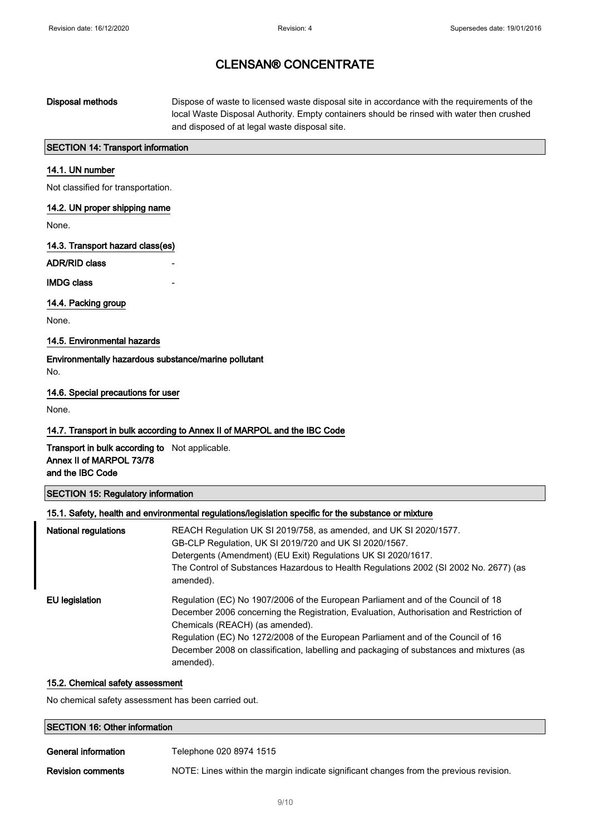Disposal methods Dispose of waste to licensed waste disposal site in accordance with the requirements of the local Waste Disposal Authority. Empty containers should be rinsed with water then crushed and disposed of at legal waste disposal site.

### SECTION 14: Transport information

### 14.1. UN number

Not classified for transportation.

#### 14.2. UN proper shipping name

None.

14.3. Transport hazard class(es)

ADR/RID class

**IMDG class** 

#### 14.4. Packing group

None.

#### 14.5. Environmental hazards

Environmentally hazardous substance/marine pollutant No.

#### 14.6. Special precautions for user

None.

#### 14.7. Transport in bulk according to Annex II of MARPOL and the IBC Code

Transport in bulk according to Not applicable. Annex II of MARPOL 73/78 and the IBC Code

#### SECTION 15: Regulatory information

| 15.1. Safety, health and environmental regulations/legislation specific for the substance or mixture |                                                                                                                                                                                                                                                                                                                                                                                                            |  |
|------------------------------------------------------------------------------------------------------|------------------------------------------------------------------------------------------------------------------------------------------------------------------------------------------------------------------------------------------------------------------------------------------------------------------------------------------------------------------------------------------------------------|--|
| <b>National regulations</b>                                                                          | REACH Regulation UK SI 2019/758, as amended, and UK SI 2020/1577.<br>GB-CLP Regulation, UK SI 2019/720 and UK SI 2020/1567.<br>Detergents (Amendment) (EU Exit) Regulations UK SI 2020/1617.<br>The Control of Substances Hazardous to Health Regulations 2002 (SI 2002 No. 2677) (as<br>amended).                                                                                                         |  |
| EU legislation                                                                                       | Regulation (EC) No 1907/2006 of the European Parliament and of the Council of 18<br>December 2006 concerning the Registration, Evaluation, Authorisation and Restriction of<br>Chemicals (REACH) (as amended).<br>Regulation (EC) No 1272/2008 of the European Parliament and of the Council of 16<br>December 2008 on classification, labelling and packaging of substances and mixtures (as<br>amended). |  |

#### 15.2. Chemical safety assessment

No chemical safety assessment has been carried out.

| <b>SECTION 16: Other information</b> |                         |  |  |
|--------------------------------------|-------------------------|--|--|
| General information                  | Telephone 020 8974 1515 |  |  |

Revision comments NOTE: Lines within the margin indicate significant changes from the previous revision.